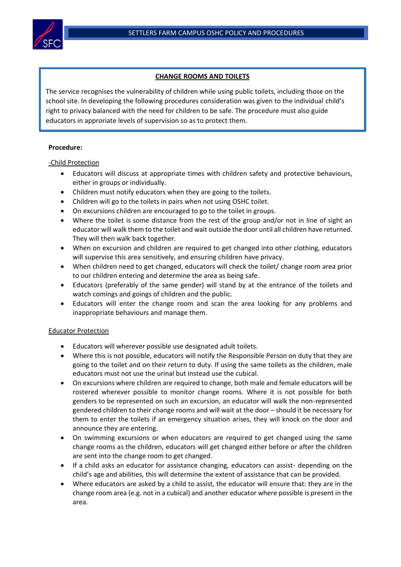

## **CHANGE ROOMS AND TOILETS**

The service recognises the vulnerability of children while using public toilets, including those on the school site. In developing the following procedures consideration was given to the individual child's right to privacy balanced with the need for children to be safe. The procedure must also guide educators in approriate levels of supervision so as to protect them.

## **Procedure:**

## -Child Protection

- Educators will discuss at appropriate times with children safety and protective behaviours, either in groups or individually.
- Children must notify educators when they are going to the toilets.
- Children will go to the toilets in pairs when not using OSHC toilet.
- On excursions children are encouraged to go to the toilet in groups.
- Where the toilet is some distance from the rest of the group and/or not in line of sight an educator will walk them to the toilet and wait outside the door until all children have returned. They will then walk back together.
- When on excursion and children are required to get changed into other clothing, educators will supervise this area sensitively, and ensuring children have privacy.
- When children need to get changed, educators will check the toilet/ change room area prior to our children entering and determine the area as being safe.
- Educators (preferably of the same gender) will stand by at the entrance of the toilets and watch comings and goings of children and the public.
- Educators will enter the change room and scan the area looking for any problems and inappropriate behaviours and manage them.

## Educator Protection

- Educators will wherever possible use designated adult toilets.
- Where this is not possible, educators will notify the Responsible Person on duty that they are going to the toilet and on their return to duty. If using the same toilets as the children, male educators must not use the urinal but instead use the cubical.
- On excursions where children are required to change, both male and female educators will be rostered wherever possible to monitor change rooms. Where it is not possible for both genders to be represented on such an excursion, an educator will walk the non-represented gendered children to their change rooms and will wait at the door – should it be necessary for them to enter the toilets if an emergency situation arises, they will knock on the door and announce they are entering.
- On swimming excursions or when educators are required to get changed using the same change rooms as the children, educators will get changed either before or after the children are sent into the change room to get changed.
- If a child asks an educator for assistance changing, educators can assist- depending on the child's age and abilities, this will determine the extent of assistance that can be provided.
- Where educators are asked by a child to assist, the educator will ensure that: they are in the change room area (e.g. not in a cubical) and another educator where possible is present in the area.